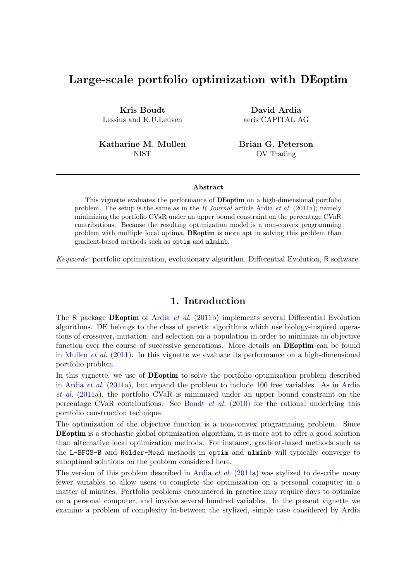# Large-scale portfolio optimization with DEoptim

Kris Boudt Lessius and K.U.Leuven

Katharine M. Mullen **NIST** 

David Ardia aeris CAPITAL AG

Brian G. Peterson DV Trading

#### Abstract

This vignette evaluates the performance of DEoptim on a high-dimensional portfolio problem. The setup is the same as in the R Journal article [Ardia](#page-7-0) et al. [\(2011a\)](#page-7-0); namely minimizing the portfolio CVaR under an upper bound constraint on the percentage CVaR contributions. Because the resulting optimization model is a non-convex programming problem with multiple local optima, DEoptim is more apt in solving this problem than gradient-based methods such as optim and nlminb.

Keywords: portfolio optimization, evolutionary algorithm, Differential Evolution, R software.

#### 1. Introduction

The R package DEoptim of [Ardia](#page-7-1) et al. [\(2011b\)](#page-7-1) implements several Differential Evolution algorithms. DE belongs to the class of genetic algorithms which use biology-inspired operations of crossover, mutation, and selection on a population in order to minimize an objective function over the course of successive generations. More details on **DEoptim** can be found in [Mullen](#page-7-2) *et al.* [\(2011\)](#page-7-2). In this vignette we evaluate its performance on a high-dimensional portfolio problem.

In this vignette, we use of **DEoptim** to solve the portfolio optimization problem described in [Ardia](#page-7-0) et al. [\(2011a\)](#page-7-0), but expand the problem to include 100 free variables. As in [Ardia](#page-7-0) [et al.](#page-7-0) [\(2011a\)](#page-7-0), the portfolio CVaR is minimized under an upper bound constraint on the percentage CVaR contributions. See [Boudt](#page-7-3) et al. [\(2010\)](#page-7-3) for the rational underlying this portfolio construction technique.

The optimization of the objective function is a non-convex programming problem. Since DEoptim is a stochastic global optimization algorithm, it is more apt to offer a good solution than alternative local optimization methods. For instance, gradient-based methods such as the L-BFGS-B and Nelder-Mead methods in optim and nlminb will typically converge to suboptimal solutions on the problem considered here.

The version of this problem described in [Ardia](#page-7-0) *et al.* [\(2011a\)](#page-7-0) was stylized to describe many fewer variables to allow users to complete the optimization on a personal computer in a matter of minutes. Portfolio problems encountered in practice may require days to optimize on a personal computer, and involve several hundred variables. In the present vignette we examine a problem of complexity in-between the stylized, simple case considered by [Ardia](#page-7-0)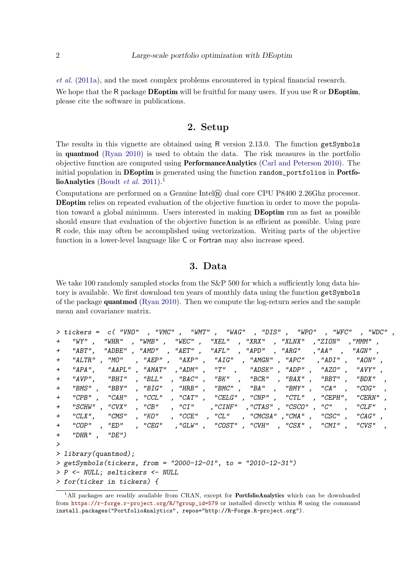[et al.](#page-7-0) [\(2011a\)](#page-7-0), and the most complex problems encountered in typical financial research. We hope that the R package **DEoptim** will be fruitful for many users. If you use R or **DEoptim**, please cite the software in publications.

## 2. Setup

The results in this vignette are obtained using R version 2.13.0. The function getSymbols in quantmod [\(Ryan](#page-7-4) [2010\)](#page-7-4) is used to obtain the data. The risk measures in the portfolio objective function are computed using PerformanceAnalytics [\(Carl and Peterson](#page-7-5) [2010\)](#page-7-5). The initial population in DEoptim is generated using the function random\_portfolios in Portfo-lioAnalytics [\(Boudt](#page-7-6) *et al.* [2011\)](#page-7-6).<sup>[1](#page-1-0)</sup>

Computations are performed on a Genuine Intel $\mathbb{R}$  dual core CPU P8400 2.26Ghz processor. DEoptim relies on repeated evaluation of the objective function in order to move the population toward a global minimum. Users interested in making DEoptim run as fast as possible should ensure that evaluation of the objective function is as efficient as possible. Using pure R code, this may often be accomplished using vectorization. Writing parts of the objective function in a lower-level language like C or Fortran may also increase speed.

#### 3. Data

We take 100 randomly sampled stocks from the S&P 500 for which a sufficiently long data history is available. We first download ten years of monthly data using the function getSymbols of the package quantmod [\(Ryan](#page-7-4) [2010\)](#page-7-4). Then we compute the log-return series and the sample mean and covariance matrix.

```
> tickers = c( "VNO" , "VMC" , "WMT" , "WAG" , "DIS" , "WPO" , "WFC" , "WDC" ,
+ "WY" , "WHR" , "WMB" , "WEC" , "XEL" , "XRX" , "XLNX" ,"ZION" ,"MMM" ,
+ "ABT", "ADBE" , "AMD" , "AET" , "AFL" , "APD" , "ARG" ,"AA" , "AGN" ,
+ "ALTR" , "MO" , "AEP" , "AXP" , "AIG" , "AMGN" , "APC" ,"ADI" , "AON" ,
+ "APA", "AAPL" , "AMAT" ,"ADM" , "T" , "ADSK" , "ADP" , "AZO" , "AVY" ,
+ "AVP", "BHI" , "BLL" , "BAC" , "BK" , "BCR" , "BAX" , "BBT" , "BDX" ,
+ "BMS" , "BBY" , "BIG" , "HRB" , "BMC" , "BA" , "BMY" , "CA" , "COG" ,
+ "CPB" , "CAH" , "CCL" , "CAT" , "CELG" , "CNP" , "CTL" , "CEPH", "CERN" ,
+ "SCHW" , "CVX" , "CB" , "CI" ,"CINF" ,"CTAS" , "CSCO" , "C" , "CLF" ,
+ "CLX", "CMS" , "KO" , "CCE" , "CL" , "CMCSA" ,"CMA" , "CSC" , "CAG" ,
+ "COP" , "ED" , "CEG" ,"GLW" , "COST" , "CVH" , "CSX" , "CMI" , "CVS" ,
+ "DHR" , "DE")
>
> library(quantmod);
> getSymbols(tickers, from = "2000-12-01", to = "2010-12-31")
> P <- NULL; seltickers <- NULL
> for(ticker in tickers) {
```
<span id="page-1-0"></span><sup>&</sup>lt;sup>1</sup>All packages are readily available from CRAN, except for **PortfolioAnalytics** which can be downloaded from [https://r-forge.r-project.org/R/?group\\_id=579](https://r-forge.r-project.org/R/?group_id=579) or installed directly within R using the command install.packages("PortfolioAnalytics", repos="http://R-Forge.R-project.org").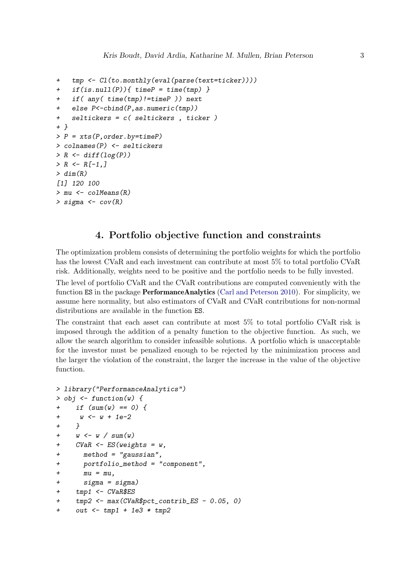```
+ tmp <- Cl(to.monthly(eval(parse(text=ticker))))
+ if(is.null(P)){ timeP = time(tmp) }
   if( any(time(tmp)!=timeP )) next
   else P < - cbind(P, as. numeric(tmp))+ seltickers = c( seltickers , ticker )
+ }
> P = xts(P, order.by = timeP)> colnames(P) <- seltickers
> R \leftarrow diff(log(P))> R < - R[-1, 1]> dim(R)[1] 120 100
> mu <- colMeans(R)
> sigma <- cov(R)
```
#### 4. Portfolio objective function and constraints

The optimization problem consists of determining the portfolio weights for which the portfolio has the lowest CVaR and each investment can contribute at most 5% to total portfolio CVaR risk. Additionally, weights need to be positive and the portfolio needs to be fully invested.

The level of portfolio CVaR and the CVaR contributions are computed conveniently with the function ES in the package **PerformanceAnalytics** [\(Carl and Peterson](#page-7-5) [2010\)](#page-7-5). For simplicity, we assume here normality, but also estimators of CVaR and CVaR contributions for non-normal distributions are available in the function **ES**.

The constraint that each asset can contribute at most 5% to total portfolio CVaR risk is imposed through the addition of a penalty function to the objective function. As such, we allow the search algorithm to consider infeasible solutions. A portfolio which is unacceptable for the investor must be penalized enough to be rejected by the minimization process and the larger the violation of the constraint, the larger the increase in the value of the objective function.

```
> library("PerformanceAnalytics")
> obj \le function(w) {
+ if (sum(w) == 0) {
+ w <- w + 1e-2
+ }
+ w \leftarrow w / sum(w)+ CVaR <- ES(weights = w,
+ method = "gaussian",
+ portfolio_method = "component",
+mu = mu,+ sigma = sigma)
+ tmp1 <- CVaR$ES
+ tmp2 <- max(CVaR$pct_contrib_ES - 0.05, 0)
+ out <- tmp1 + 1e3 * tmp2
```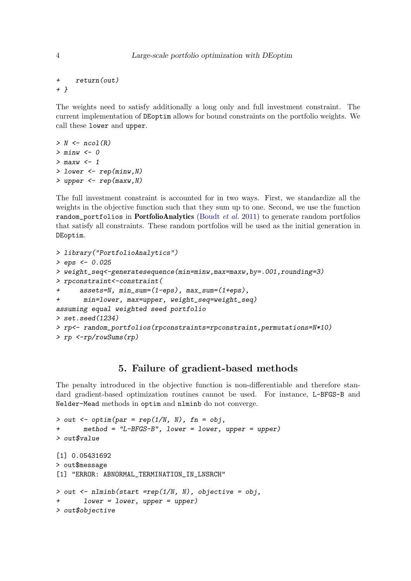```
+ return(out)
+ }
```
The weights need to satisfy additionally a long only and full investment constraint. The current implementation of DEoptim allows for bound constraints on the portfolio weights. We call these lower and upper.

```
> N \leq n \cdot \text{mod}(R)> minw < -0> maxw <-1> lower \leq rep(minw, N)
> upper \leq rep(maxw, N)
```
The full investment constraint is accounted for in two ways. First, we standardize all the weights in the objective function such that they sum up to one. Second, we use the function random portfolios in **PortfolioAnalytics** [\(Boudt](#page-7-6) *et al.* [2011\)](#page-7-6) to generate random portfolios that satisfy all constraints. These random portfolios will be used as the initial generation in DEoptim.

```
> library("PortfolioAnalytics")
> eps <- 0.025
> weight_seq<-generatesequence(min=minw,max=maxw,by=.001,rounding=3)
> rpconstraint<-constraint(
     + assets=N, min_sum=(1-eps), max_sum=(1+eps),
+ min=lower, max=upper, weight_seq=weight_seq)
assuming equal weighted seed portfolio
> set.seed(1234)
> rp<- random_portfolios(rpconstraints=rpconstraint,permutations=N*10)
> rp <-rp/rowSums(rp)
```
## 5. Failure of gradient-based methods

The penalty introduced in the objective function is non-differentiable and therefore standard gradient-based optimization routines cannot be used. For instance, L-BFGS-B and Nelder-Mead methods in optim and nlminb do not converge.

```
> out \leq optim(par = rep(1/N, N), fn = obj,
+ method = "L-BFGS-B", lower = lower, upper = upper)
> out$value
[1] 0.05431692
> out$message
[1] "ERROR: ABNORMAL_TERMINATION_IN_LNSRCH"
> out <- nlminb(start =rep(1/N, N), objective = obj,
       lower = lower, upper = upper)> out$objective
```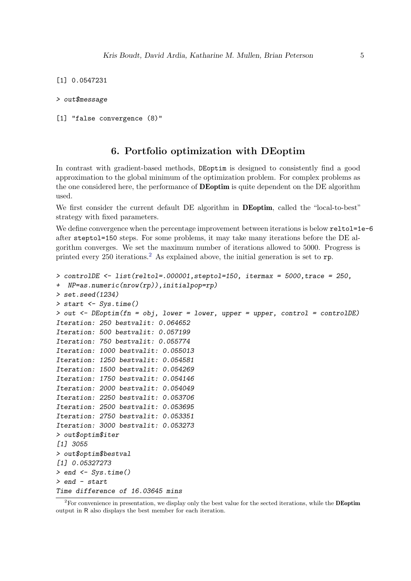```
[1] 0.0547231
```

```
> out$message
```

```
[1] "false convergence (8)"
```
#### 6. Portfolio optimization with DEoptim

In contrast with gradient-based methods, DEoptim is designed to consistently find a good approximation to the global minimum of the optimization problem. For complex problems as the one considered here, the performance of **DEoptim** is quite dependent on the DE algorithm used.

We first consider the current default DE algorithm in **DEoptim**, called the "local-to-best" strategy with fixed parameters.

We define convergence when the percentage improvement between iterations is below reltol=1e-6 after steptol=150 steps. For some problems, it may take many iterations before the DE algorithm converges. We set the maximum number of iterations allowed to 5000. Progress is printed every  $250$  $250$  iterations.<sup>2</sup> As explained above, the initial generation is set to  $\mathbf{rp}$ .

```
> controlDE \leftarrow list(reltol=.000001, steptol=150, itermax = 5000, trace = 250,
+ NP=as.numeric(nrow(rp)),initialpop=rp)
> set.seed(1234)
> start <- Sys.time()
> out \leq DEoptim(fn = obj, lower = lower, upper = upper, control = controlDE)
Iteration: 250 bestvalit: 0.064652
Iteration: 500 bestvalit: 0.057199
Iteration: 750 bestvalit: 0.055774
Iteration: 1000 bestvalit: 0.055013
Iteration: 1250 bestvalit: 0.054581
Iteration: 1500 bestvalit: 0.054269
Iteration: 1750 bestvalit: 0.054146
Iteration: 2000 bestvalit: 0.054049
Iteration: 2250 bestvalit: 0.053706
Iteration: 2500 bestvalit: 0.053695
Iteration: 2750 bestvalit: 0.053351
Iteration: 3000 bestvalit: 0.053273
> out$optim$iter
[1] 3055
> out$optim$bestval
[1] 0.05327273
> end \leq Svs.time()
> end - start
Time difference of 16.03645 mins
```
<span id="page-4-0"></span><sup>&</sup>lt;sup>2</sup>For convenience in presentation, we display only the best value for the sected iterations, while the **DEoptim** output in R also displays the best member for each iteration.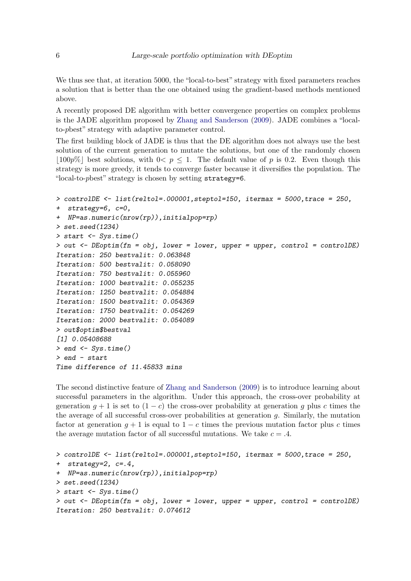We thus see that, at iteration 5000, the "local-to-best" strategy with fixed parameters reaches a solution that is better than the one obtained using the gradient-based methods mentioned above.

A recently proposed DE algorithm with better convergence properties on complex problems is the JADE algorithm proposed by [Zhang and Sanderson](#page-7-7) [\(2009\)](#page-7-7). JADE combines a "localto-pbest" strategy with adaptive parameter control.

The first building block of JADE is thus that the DE algorithm does not always use the best solution of the current generation to mutate the solutions, but one of the randomly chosen  $\vert 100p\% \vert$  best solutions, with  $0 < p < 1$ . The default value of p is 0.2. Even though this strategy is more greedy, it tends to converge faster because it diversifies the population. The "local-to-pbest" strategy is chosen by setting strategy=6.

```
> controlDE <- list(reltol=.000001,steptol=150, itermax = 5000,trace = 250,
+ strategy=6, c=0,
+ NP=as.numeric(nrow(rp)),initialpop=rp)
> set.seed(1234)
> start <- Sys.time()
> out \leq DEoptim(fn = obj, lower = lower, upper = upper, control = controlDE)
Iteration: 250 bestvalit: 0.063848
Iteration: 500 bestvalit: 0.058090
Iteration: 750 bestvalit: 0.055960
Iteration: 1000 bestvalit: 0.055235
Iteration: 1250 bestvalit: 0.054884
Iteration: 1500 bestvalit: 0.054369
Iteration: 1750 bestvalit: 0.054269
Iteration: 2000 bestvalit: 0.054089
> out$optim$bestval
[1] 0.05408688
> end <- Sys.time()
> end - start
Time difference of 11.45833 mins
```
The second distinctive feature of [Zhang and Sanderson](#page-7-7) [\(2009\)](#page-7-7) is to introduce learning about successful parameters in the algorithm. Under this approach, the cross-over probability at generation  $q + 1$  is set to  $(1 - c)$  the cross-over probability at generation q plus c times the the average of all successful cross-over probabilities at generation  $q$ . Similarly, the mutation factor at generation  $g + 1$  is equal to  $1 - c$  times the previous mutation factor plus c times the average mutation factor of all successful mutations. We take  $c = .4$ .

```
> controlDE <- list(reltol=.000001,steptol=150, itermax = 5000,trace = 250,
+ strategy=2, c=.4,
+ NP=as.numeric(nrow(rp)),initialpop=rp)
> set.seed(1234)
> start <- Sys.time()
> out <- DEoptim(fn = obj, lower = lower, upper = upper, control = controlDE)
Iteration: 250 bestvalit: 0.074612
```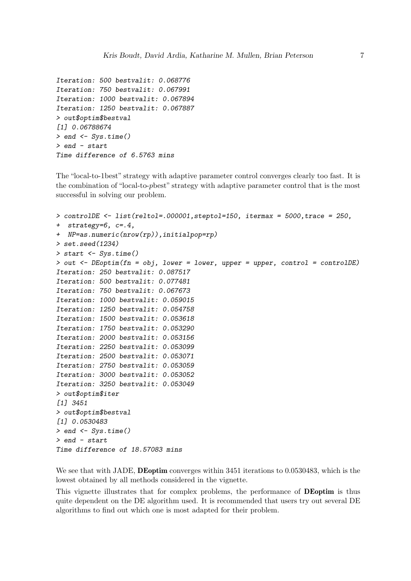```
Iteration: 500 bestvalit: 0.068776
Iteration: 750 bestvalit: 0.067991
Iteration: 1000 bestvalit: 0.067894
Iteration: 1250 bestvalit: 0.067887
> out$optim$bestval
[1] 0.06788674
> end \leq Sys.time()
> end - start
Time difference of 6.5763 mins
```
The "local-to-1best" strategy with adaptive parameter control converges clearly too fast. It is the combination of "local-to-pbest" strategy with adaptive parameter control that is the most successful in solving our problem.

```
> controlDE \leftarrow list(reltol=.000001, steptol=150, itermax = 5000, trace = 250,
+ strategy=6, c=.4,
+ NP=as.numeric(nrow(rp)),initialpop=rp)
> set.seed(1234)
> start <- Sys.time()
> out \leq DEoptim(fn = obj, lower = lower, upper = upper, control = controlDE)
Iteration: 250 bestvalit: 0.087517
Iteration: 500 bestvalit: 0.077481
Iteration: 750 bestvalit: 0.067673
Iteration: 1000 bestvalit: 0.059015
Iteration: 1250 bestvalit: 0.054758
Iteration: 1500 bestvalit: 0.053618
Iteration: 1750 bestvalit: 0.053290
Iteration: 2000 bestvalit: 0.053156
Iteration: 2250 bestvalit: 0.053099
Iteration: 2500 bestvalit: 0.053071
Iteration: 2750 bestvalit: 0.053059
Iteration: 3000 bestvalit: 0.053052
Iteration: 3250 bestvalit: 0.053049
> out$optim$iter
[1] 3451
> out$optim$bestval
[1] 0.0530483
> end <- Sys.time()
> end - start
Time difference of 18.57083 mins
```
We see that with JADE, **DEoptim** converges within 3451 iterations to 0.0530483, which is the lowest obtained by all methods considered in the vignette.

This vignette illustrates that for complex problems, the performance of DEoptim is thus quite dependent on the DE algorithm used. It is recommended that users try out several DE algorithms to find out which one is most adapted for their problem.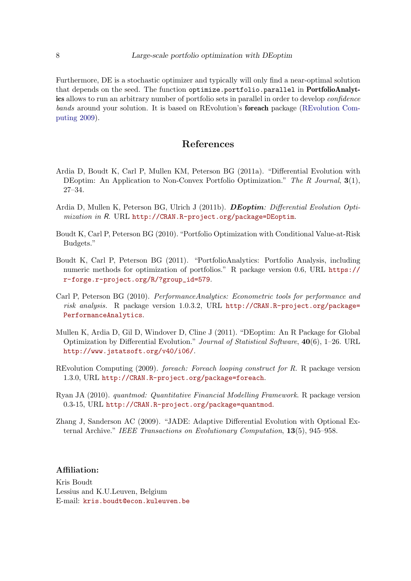Furthermore, DE is a stochastic optimizer and typically will only find a near-optimal solution that depends on the seed. The function optimize.portfolio.parallel in PortfolioAnalytics allows to run an arbitrary number of portfolio sets in parallel in order to develop *confidence* bands around your solution. It is based on REvolution's foreach package [\(REvolution Com](#page-7-8)[puting](#page-7-8) [2009\)](#page-7-8).

#### References

- <span id="page-7-0"></span>Ardia D, Boudt K, Carl P, Mullen KM, Peterson BG (2011a). "Differential Evolution with DEoptim: An Application to Non-Convex Portfolio Optimization." The R Journal, 3(1), 27–34.
- <span id="page-7-1"></span>Ardia D, Mullen K, Peterson BG, Ulrich J (2011b). **DEoptim**: Differential Evolution Optimization in R. URL <http://CRAN.R-project.org/package=DEoptim>.
- <span id="page-7-3"></span>Boudt K, Carl P, Peterson BG (2010). "Portfolio Optimization with Conditional Value-at-Risk Budgets."
- <span id="page-7-6"></span>Boudt K, Carl P, Peterson BG (2011). "PortfolioAnalytics: Portfolio Analysis, including numeric methods for optimization of portfolios." R package version 0.6, URL [https://](https://r-forge.r-project.org/R/?group_id=579) [r-forge.r-project.org/R/?group\\_id=579](https://r-forge.r-project.org/R/?group_id=579).
- <span id="page-7-5"></span>Carl P, Peterson BG (2010). PerformanceAnalytics: Econometric tools for performance and risk analysis. R package version 1.0.3.2, URL [http://CRAN.R-project.org/package=](http://CRAN.R-project.org/package=PerformanceAnalytics) [PerformanceAnalytics](http://CRAN.R-project.org/package=PerformanceAnalytics).
- <span id="page-7-2"></span>Mullen K, Ardia D, Gil D, Windover D, Cline J (2011). "DEoptim: An R Package for Global Optimization by Differential Evolution." Journal of Statistical Software, 40(6), 1–26. URL <http://www.jstatsoft.org/v40/i06/>.
- <span id="page-7-8"></span>REvolution Computing (2009). foreach: Foreach looping construct for R. R package version 1.3.0, URL <http://CRAN.R-project.org/package=foreach>.
- <span id="page-7-4"></span>Ryan JA (2010). quantmod: Quantitative Financial Modelling Framework. R package version 0.3-15, URL <http://CRAN.R-project.org/package=quantmod>.
- <span id="page-7-7"></span>Zhang J, Sanderson AC (2009). "JADE: Adaptive Differential Evolution with Optional External Archive." IEEE Transactions on Evolutionary Computation, 13(5), 945–958.

#### Affiliation:

Kris Boudt Lessius and K.U.Leuven, Belgium E-mail: [kris.boudt@econ.kuleuven.be](mailto:kris.boudt@econ.kuleuven.be)